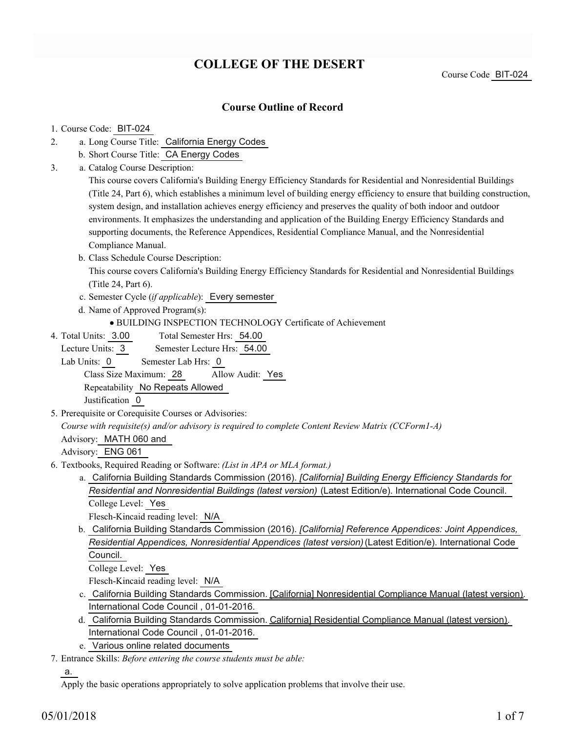# **COLLEGE OF THE DESERT**

Course Code BIT-024

### **Course Outline of Record**

#### 1. Course Code: BIT-024

- a. Long Course Title: California Energy Codes 2.
	- b. Short Course Title: CA Energy Codes
- Catalog Course Description: a. 3.

This course covers California's Building Energy Efficiency Standards for Residential and Nonresidential Buildings (Title 24, Part 6), which establishes a minimum level of building energy efficiency to ensure that building construction, system design, and installation achieves energy efficiency and preserves the quality of both indoor and outdoor environments. It emphasizes the understanding and application of the Building Energy Efficiency Standards and supporting documents, the Reference Appendices, Residential Compliance Manual, and the Nonresidential Compliance Manual.

b. Class Schedule Course Description:

This course covers California's Building Energy Efficiency Standards for Residential and Nonresidential Buildings (Title 24, Part 6).

- c. Semester Cycle (*if applicable*): Every semester
- d. Name of Approved Program(s):

BUILDING INSPECTION TECHNOLOGY Certificate of Achievement

Total Semester Hrs: 54.00 4. Total Units: 3.00

Lecture Units: 3 Semester Lecture Hrs: 54.00

Lab Units: 0 Semester Lab Hrs: 0

Class Size Maximum: 28 Allow Audit: Yes

Repeatability No Repeats Allowed

Justification 0

5. Prerequisite or Corequisite Courses or Advisories:

*Course with requisite(s) and/or advisory is required to complete Content Review Matrix (CCForm1-A)*

Advisory: MATH 060 and

Advisory: ENG 061

- Textbooks, Required Reading or Software: *(List in APA or MLA format.)* 6.
	- a. California Building Standards Commission (2016). *[California] Building Energy Efficiency Standards for Residential and Nonresidential Buildings (latest version)* (Latest Edition/e). International Code Council. College Level: Yes

Flesch-Kincaid reading level: N/A

b. California Building Standards Commission (2016). *[California] Reference Appendices: Joint Appendices*, *Residential Appendices, Nonresidential Appendices (latest version)* (Latest Edition/e). International Code Council.

College Level: Yes

Flesch-Kincaid reading level: N/A

- c. California Building Standards Commission. <u>[California] Nonresidential Compliance Manual (latest version)</u>. International Code Council , 01-01-2016.
- d. California Building Standards Commission. *California*] Residential Compliance Manual (latest version). International Code Council , 01-01-2016.
- e. Various online related documents
- Entrance Skills: *Before entering the course students must be able:* 7.

a.

Apply the basic operations appropriately to solve application problems that involve their use.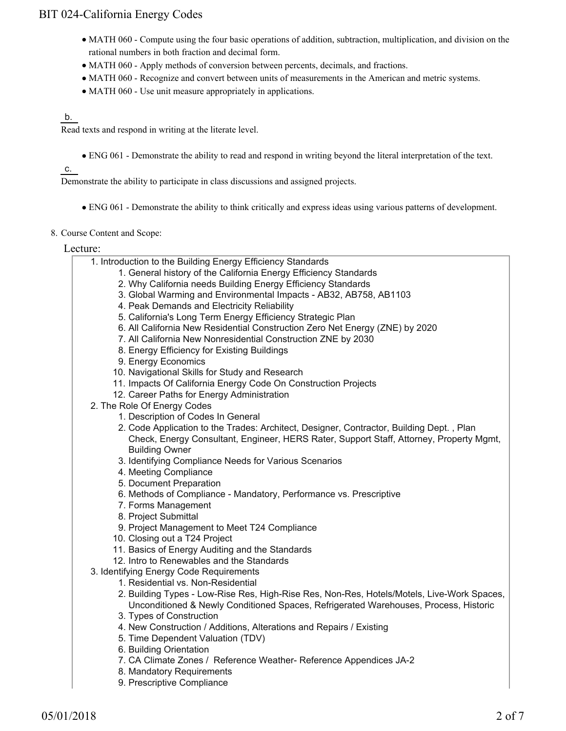- MATH 060 Compute using the four basic operations of addition, subtraction, multiplication, and division on the rational numbers in both fraction and decimal form.
- MATH 060 Apply methods of conversion between percents, decimals, and fractions.
- MATH 060 Recognize and convert between units of measurements in the American and metric systems.
- MATH 060 Use unit measure appropriately in applications.

#### b.

Read texts and respond in writing at the literate level.

ENG 061 - Demonstrate the ability to read and respond in writing beyond the literal interpretation of the text.

### c.

Demonstrate the ability to participate in class discussions and assigned projects.

ENG 061 - Demonstrate the ability to think critically and express ideas using various patterns of development.

#### 8. Course Content and Scope:

Lecture:

| 1. Introduction to the Building Energy Efficiency Standards                                |
|--------------------------------------------------------------------------------------------|
| 1. General history of the California Energy Efficiency Standards                           |
| 2. Why California needs Building Energy Efficiency Standards                               |
| 3. Global Warming and Environmental Impacts - AB32, AB758, AB1103                          |
| 4. Peak Demands and Electricity Reliability                                                |
| 5. California's Long Term Energy Efficiency Strategic Plan                                 |
| 6. All California New Residential Construction Zero Net Energy (ZNE) by 2020               |
| 7. All California New Nonresidential Construction ZNE by 2030                              |
| 8. Energy Efficiency for Existing Buildings                                                |
| 9. Energy Economics                                                                        |
| 10. Navigational Skills for Study and Research                                             |
| 11. Impacts Of California Energy Code On Construction Projects                             |
| 12. Career Paths for Energy Administration                                                 |
| 2. The Role Of Energy Codes                                                                |
| 1. Description of Codes In General                                                         |
| 2. Code Application to the Trades: Architect, Designer, Contractor, Building Dept., Plan   |
| Check, Energy Consultant, Engineer, HERS Rater, Support Staff, Attorney, Property Mgmt,    |
| <b>Building Owner</b>                                                                      |
| 3. Identifying Compliance Needs for Various Scenarios                                      |
| 4. Meeting Compliance                                                                      |
| 5. Document Preparation                                                                    |
| 6. Methods of Compliance - Mandatory, Performance vs. Prescriptive                         |
| 7. Forms Management                                                                        |
| 8. Project Submittal                                                                       |
| 9. Project Management to Meet T24 Compliance                                               |
| 10. Closing out a T24 Project                                                              |
| 11. Basics of Energy Auditing and the Standards                                            |
| 12. Intro to Renewables and the Standards                                                  |
| 3. Identifying Energy Code Requirements                                                    |
| 1. Residential vs. Non-Residential                                                         |
| 2. Building Types - Low-Rise Res, High-Rise Res, Non-Res, Hotels/Motels, Live-Work Spaces, |
| Unconditioned & Newly Conditioned Spaces, Refrigerated Warehouses, Process, Historic       |
| 3. Types of Construction                                                                   |
| 4. New Construction / Additions, Alterations and Repairs / Existing                        |
| 5. Time Dependent Valuation (TDV)                                                          |
| 6. Building Orientation                                                                    |
| 7. CA Climate Zones / Reference Weather- Reference Appendices JA-2                         |
| 8. Mandatory Requirements                                                                  |
| 9. Prescriptive Compliance                                                                 |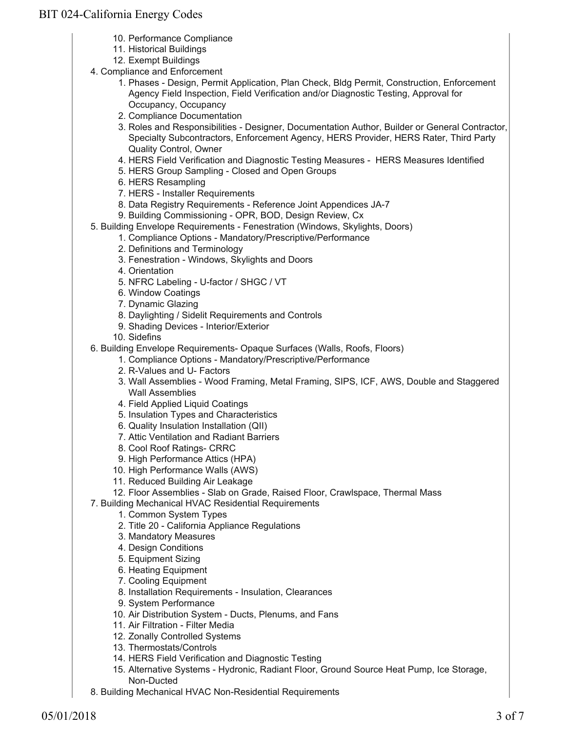- 10. Performance Compliance
- 11. Historical Buildings
- 12. Exempt Buildings
- 4. Compliance and Enforcement
	- 1. Phases Design, Permit Application, Plan Check, Bldg Permit, Construction, Enforcement Agency Field Inspection, Field Verification and/or Diagnostic Testing, Approval for Occupancy, Occupancy
	- 2. Compliance Documentation
	- 3. Roles and Responsibilities Designer, Documentation Author, Builder or General Contractor, Specialty Subcontractors, Enforcement Agency, HERS Provider, HERS Rater, Third Party Quality Control, Owner
	- 4. HERS Field Verification and Diagnostic Testing Measures HERS Measures Identified
	- 5. HERS Group Sampling Closed and Open Groups
	- 6. HERS Resampling
	- 7. HERS Installer Requirements
	- 8. Data Registry Requirements Reference Joint Appendices JA-7
	- 9. Building Commissioning OPR, BOD, Design Review, Cx
- 5. Building Envelope Requirements Fenestration (Windows, Skylights, Doors)
	- 1. Compliance Options Mandatory/Prescriptive/Performance
		- 2. Definitions and Terminology
		- 3. Fenestration Windows, Skylights and Doors
		- 4. Orientation
		- 5. NFRC Labeling U-factor / SHGC / VT
		- 6. Window Coatings
		- 7. Dynamic Glazing
		- 8. Daylighting / Sidelit Requirements and Controls
		- 9. Shading Devices Interior/Exterior
	- 10. Sidefins
- 6. Building Envelope Requirements- Opaque Surfaces (Walls, Roofs, Floors)
	- 1. Compliance Options Mandatory/Prescriptive/Performance
		- 2. R-Values and U- Factors
		- 3. Wall Assemblies Wood Framing, Metal Framing, SIPS, ICF, AWS, Double and Staggered Wall Assemblies
		- 4. Field Applied Liquid Coatings
		- 5. Insulation Types and Characteristics
		- 6. Quality Insulation Installation (QII)
		- 7. Attic Ventilation and Radiant Barriers
		- 8. Cool Roof Ratings- CRRC
		- 9. High Performance Attics (HPA)
		- 10. High Performance Walls (AWS)
		- 11. Reduced Building Air Leakage
	- 12. Floor Assemblies Slab on Grade, Raised Floor, Crawlspace, Thermal Mass
- 7. Building Mechanical HVAC Residential Requirements
	- 1. Common System Types
	- 2. Title 20 California Appliance Regulations
	- 3. Mandatory Measures
	- 4. Design Conditions
	- 5. Equipment Sizing
	- 6. Heating Equipment
	- 7. Cooling Equipment
	- 8. Installation Requirements Insulation, Clearances
	- 9. System Performance
	- 10. Air Distribution System Ducts, Plenums, and Fans
	- 11. Air Filtration Filter Media
	- 12. Zonally Controlled Systems
	- 13. Thermostats/Controls
	- 14. HERS Field Verification and Diagnostic Testing
	- 15. Alternative Systems Hydronic, Radiant Floor, Ground Source Heat Pump, Ice Storage, Non-Ducted
- 8. Building Mechanical HVAC Non-Residential Requirements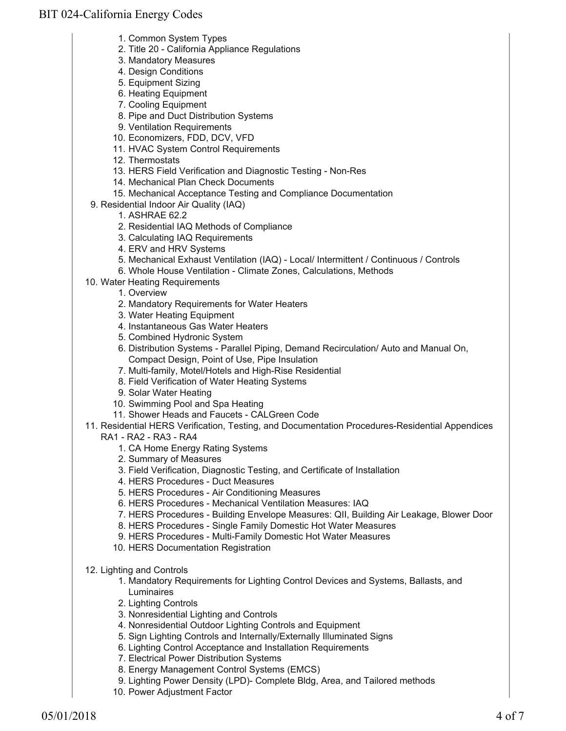- 1. Common System Types
- 2. Title 20 California Appliance Regulations
- 3. Mandatory Measures
- 4. Design Conditions
- 5. Equipment Sizing
- 6. Heating Equipment
- 7. Cooling Equipment
- 8. Pipe and Duct Distribution Systems
- 9. Ventilation Requirements
- 10. Economizers, FDD, DCV, VFD
- 11. HVAC System Control Requirements
- 12. Thermostats
- 13. HERS Field Verification and Diagnostic Testing Non-Res
- 14. Mechanical Plan Check Documents
- 15. Mechanical Acceptance Testing and Compliance Documentation
- 9. Residential Indoor Air Quality (IAQ)
	- 1. ASHRAE 62.2
	- 2. Residential IAQ Methods of Compliance
	- 3. Calculating IAQ Requirements
	- 4. ERV and HRV Systems
	- 5. Mechanical Exhaust Ventilation (IAQ) Local/ Intermittent / Continuous / Controls
	- 6. Whole House Ventilation Climate Zones, Calculations, Methods
- 10. Water Heating Requirements
	- 1. Overview
	- 2. Mandatory Requirements for Water Heaters
	- 3. Water Heating Equipment
	- 4. Instantaneous Gas Water Heaters
	- 5. Combined Hydronic System
	- 6. Distribution Systems Parallel Piping, Demand Recirculation/ Auto and Manual On, Compact Design, Point of Use, Pipe Insulation
	- 7. Multi-family, Motel/Hotels and High-Rise Residential
	- 8. Field Verification of Water Heating Systems
	- 9. Solar Water Heating
	- 10. Swimming Pool and Spa Heating
	- 11. Shower Heads and Faucets CALGreen Code

11. Residential HERS Verification, Testing, and Documentation Procedures-Residential Appendices

- RA1 RA2 RA3 RA4
	- 1. CA Home Energy Rating Systems
	- 2. Summary of Measures
	- 3. Field Verification, Diagnostic Testing, and Certificate of Installation
	- 4. HERS Procedures Duct Measures
	- 5. HERS Procedures Air Conditioning Measures
	- 6. HERS Procedures Mechanical Ventilation Measures: IAQ
	- 7. HERS Procedures Building Envelope Measures: QII, Building Air Leakage, Blower Door
	- 8. HERS Procedures Single Family Domestic Hot Water Measures
	- 9. HERS Procedures Multi-Family Domestic Hot Water Measures
	- 10. HERS Documentation Registration
- 12. Lighting and Controls
	- 1. Mandatory Requirements for Lighting Control Devices and Systems, Ballasts, and Luminaires
	- 2. Lighting Controls
	- 3. Nonresidential Lighting and Controls
	- 4. Nonresidential Outdoor Lighting Controls and Equipment
	- 5. Sign Lighting Controls and Internally/Externally Illuminated Signs
	- 6. Lighting Control Acceptance and Installation Requirements
	- 7. Electrical Power Distribution Systems
	- 8. Energy Management Control Systems (EMCS)
	- 9. Lighting Power Density (LPD)- Complete Bldg, Area, and Tailored methods
	- 10. Power Adjustment Factor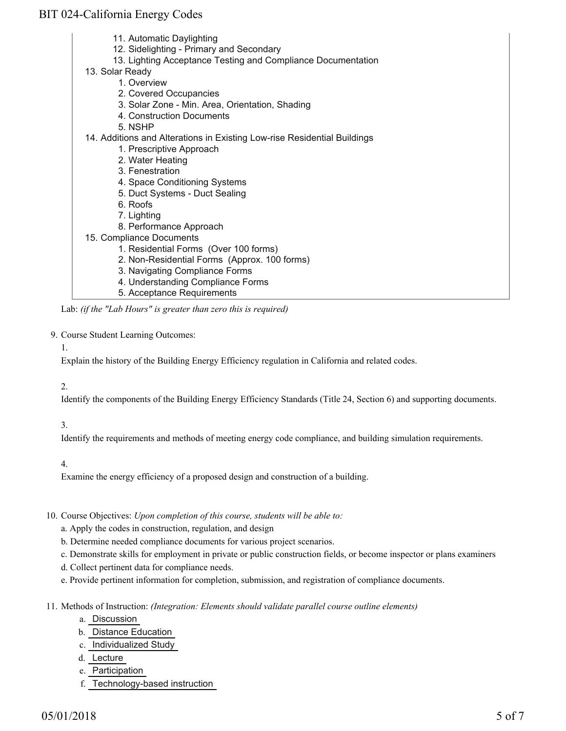- 11. Automatic Daylighting
- 12. Sidelighting Primary and Secondary
- 13. Lighting Acceptance Testing and Compliance Documentation
- 13. Solar Ready
	- 1. Overview
	- 2. Covered Occupancies
	- 3. Solar Zone Min. Area, Orientation, Shading
	- 4. Construction Documents
	- 5. NSHP
- 14. Additions and Alterations in Existing Low-rise Residential Buildings
	- 1. Prescriptive Approach
	- 2. Water Heating
	- 3. Fenestration
	- 4. Space Conditioning Systems
	- 5. Duct Systems Duct Sealing
	- 6. Roofs
	- 7. Lighting
	- 8. Performance Approach
- 15. Compliance Documents
	- 1. Residential Forms (Over 100 forms)
	- 2. Non-Residential Forms (Approx. 100 forms)
	- 3. Navigating Compliance Forms
	- 4. Understanding Compliance Forms
	- 5. Acceptance Requirements

Lab: *(if the "Lab Hours" is greater than zero this is required)*

#### 9. Course Student Learning Outcomes:

#### 1.

Explain the history of the Building Energy Efficiency regulation in California and related codes.

#### 2.

Identify the components of the Building Energy Efficiency Standards (Title 24, Section 6) and supporting documents.

#### 3.

Identify the requirements and methods of meeting energy code compliance, and building simulation requirements.

#### 4.

Examine the energy efficiency of a proposed design and construction of a building.

#### 10. Course Objectives: Upon completion of this course, students will be able to:

- a. Apply the codes in construction, regulation, and design
- b. Determine needed compliance documents for various project scenarios.
- c. Demonstrate skills for employment in private or public construction fields, or become inspector or plans examiners
- d. Collect pertinent data for compliance needs.
- e. Provide pertinent information for completion, submission, and registration of compliance documents.
- Methods of Instruction: *(Integration: Elements should validate parallel course outline elements)* 11.
	- a. Discussion
	- b. Distance Education
	- c. Individualized Study
	- d. Lecture
	- e. Participation
	- f. Technology-based instruction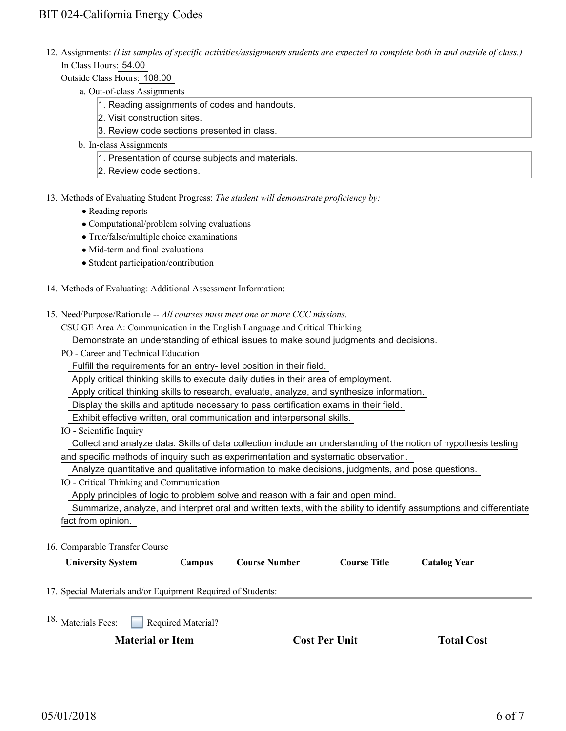12. Assignments: (List samples of specific activities/assignments students are expected to complete both in and outside of class.) In Class Hours: 54.00

Outside Class Hours: 108.00

- a. Out-of-class Assignments
	- 1. Reading assignments of codes and handouts.
	- 2. Visit construction sites.
	- 3. Review code sections presented in class.
- b. In-class Assignments
	- 1. Presentation of course subjects and materials.
	- 2. Review code sections.

### 13. Methods of Evaluating Student Progress: The student will demonstrate proficiency by:

- Reading reports
- Computational/problem solving evaluations
- True/false/multiple choice examinations
- Mid-term and final evaluations
- Student participation/contribution
- 14. Methods of Evaluating: Additional Assessment Information:
- 15. Need/Purpose/Rationale -- All courses must meet one or more CCC missions.
	- CSU GE Area A: Communication in the English Language and Critical Thinking

Demonstrate an understanding of ethical issues to make sound judgments and decisions.

- PO Career and Technical Education
	- Fulfill the requirements for an entry- level position in their field.

Apply critical thinking skills to execute daily duties in their area of employment.

Apply critical thinking skills to research, evaluate, analyze, and synthesize information.

Display the skills and aptitude necessary to pass certification exams in their field.

Exhibit effective written, oral communication and interpersonal skills.

IO - Scientific Inquiry

 Collect and analyze data. Skills of data collection include an understanding of the notion of hypothesis testing and specific methods of inquiry such as experimentation and systematic observation.

Analyze quantitative and qualitative information to make decisions, judgments, and pose questions.

IO - Critical Thinking and Communication

Apply principles of logic to problem solve and reason with a fair and open mind.

 Summarize, analyze, and interpret oral and written texts, with the ability to identify assumptions and differentiate fact from opinion.

16. Comparable Transfer Course

| <b>Campus</b> | <b>Course Number</b> | <b>Course Title</b> | <b>Catalog Year</b> |
|---------------|----------------------|---------------------|---------------------|
|               |                      |                     |                     |

- 17. Special Materials and/or Equipment Required of Students:
- Required Material? <sup>18.</sup> Materials Fees:

**Material or Item Cost Per Unit Total Cost** 

| <b>Cost Per Unit</b> |
|----------------------|
|----------------------|